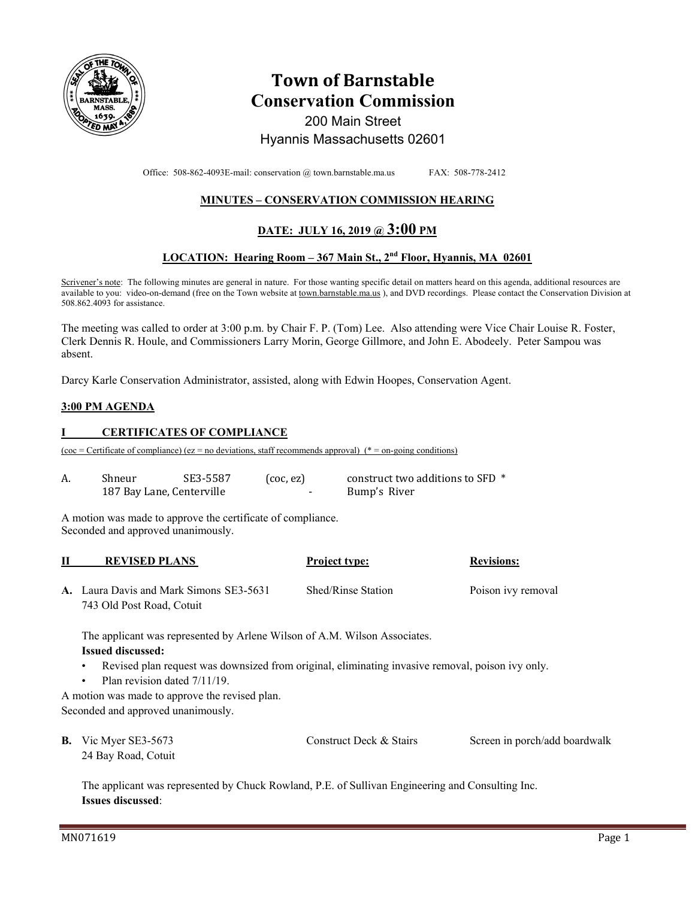

# **Town of Barnstable Conservation Commission**  200 Main Street Hyannis Massachusetts 02601

Office: 508-862-4093E-mail: conservation @ town.barnstable.ma.us FAX: 508-778-2412

## **MINUTES – CONSERVATION COMMISSION HEARING**

# **DATE: JULY 16, 2019 @ 3:00 PM**

## **LOCATION: Hearing Room – 367 Main St., 2nd Floor, Hyannis, MA 02601**

Scrivener's note: The following minutes are general in nature. For those wanting specific detail on matters heard on this agenda, additional resources are available to you: video-on-demand (free on the Town website at town.barnstable.ma.us), and DVD recordings. Please contact the Conservation Division at 508.862.4093 for assistance.

The meeting was called to order at 3:00 p.m. by Chair F. P. (Tom) Lee. Also attending were Vice Chair Louise R. Foster, Clerk Dennis R. Houle, and Commissioners Larry Morin, George Gillmore, and John E. Abodeely. Peter Sampou was absent.

Darcy Karle Conservation Administrator, assisted, along with Edwin Hoopes, Conservation Agent.

#### **3:00 PM AGENDA**

#### **I CERTIFICATES OF COMPLIANCE**

 $(\csc = \text{Certificance}) (\csc = \text{no deviations}, \text{ staff recommends approval})$  (\* = on-going conditions)

| Shneur                    | SE3-5587 | $($ coc, ez $)$ | construct two additions to SFD * |
|---------------------------|----------|-----------------|----------------------------------|
| 187 Bay Lane, Centerville |          | $\sim$          | Bump's River                     |

A motion was made to approve the certificate of compliance. Seconded and approved unanimously.

| <b>REVISED PLANS</b>                    | <b>Project type:</b> | <b>Revisions:</b>  |
|-----------------------------------------|----------------------|--------------------|
| A. Laura Davis and Mark Simons SE3-5631 | Shed/Rinse Station   | Poison ivy removal |
| 743 Old Post Road, Cotuit               |                      |                    |

The applicant was represented by Arlene Wilson of A.M. Wilson Associates.

#### **Issued discussed:**

- Revised plan request was downsized from original, eliminating invasive removal, poison ivy only.
- Plan revision dated 7/11/19.

A motion was made to approve the revised plan. Seconded and approved unanimously.

| <b>B.</b> Vic Myer SE3-5673 | Construct Deck & Stairs | Screen in porch/add boardwalk |
|-----------------------------|-------------------------|-------------------------------|
| 24 Bay Road, Cotuit         |                         |                               |

The applicant was represented by Chuck Rowland, P.E. of Sullivan Engineering and Consulting Inc. **Issues discussed**: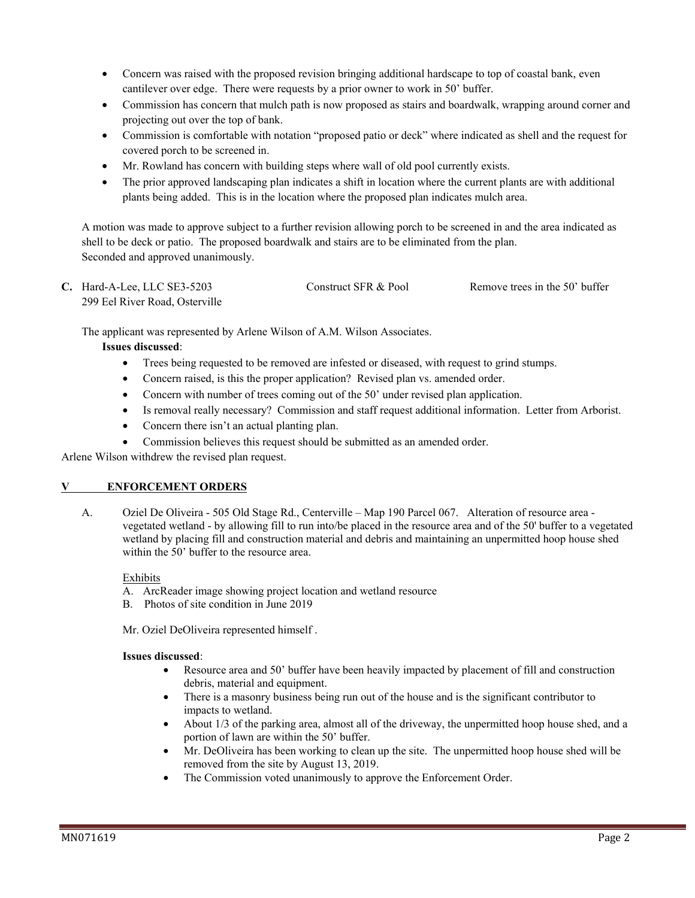- Concern was raised with the proposed revision bringing additional hardscape to top of coastal bank, even cantilever over edge. There were requests by a prior owner to work in 50' buffer.
- Commission has concern that mulch path is now proposed as stairs and boardwalk, wrapping around corner and projecting out over the top of bank.
- Commission is comfortable with notation "proposed patio or deck" where indicated as shell and the request for covered porch to be screened in.
- Mr. Rowland has concern with building steps where wall of old pool currently exists.
- The prior approved landscaping plan indicates a shift in location where the current plants are with additional plants being added. This is in the location where the proposed plan indicates mulch area.

A motion was made to approve subject to a further revision allowing porch to be screened in and the area indicated as shell to be deck or patio. The proposed boardwalk and stairs are to be eliminated from the plan. Seconded and approved unanimously.

| $C.$ Hard-A-Lee, LLC SE3-5203  | Construct SFR & Pool | Remove trees in the 50' buffer |
|--------------------------------|----------------------|--------------------------------|
| 299 Eel River Road, Osterville |                      |                                |

The applicant was represented by Arlene Wilson of A.M. Wilson Associates.

#### **Issues discussed**:

- Trees being requested to be removed are infested or diseased, with request to grind stumps.
- Concern raised, is this the proper application? Revised plan vs. amended order.
- Concern with number of trees coming out of the 50' under revised plan application.
- Is removal really necessary? Commission and staff request additional information. Letter from Arborist.
- Concern there isn't an actual planting plan.
- Commission believes this request should be submitted as an amended order.

Arlene Wilson withdrew the revised plan request.

#### **V ENFORCEMENT ORDERS**

A. Oziel De Oliveira - 505 Old Stage Rd., Centerville – Map 190 Parcel 067. Alteration of resource area vegetated wetland - by allowing fill to run into/be placed in the resource area and of the 50' buffer to a vegetated wetland by placing fill and construction material and debris and maintaining an unpermitted hoop house shed within the 50' buffer to the resource area.

#### Exhibits

- A. ArcReader image showing project location and wetland resource
- B. Photos of site condition in June 2019

Mr. Oziel DeOliveira represented himself .

#### **Issues discussed**:

- Resource area and 50' buffer have been heavily impacted by placement of fill and construction debris, material and equipment.
- There is a masonry business being run out of the house and is the significant contributor to impacts to wetland.
- About 1/3 of the parking area, almost all of the driveway, the unpermitted hoop house shed, and a portion of lawn are within the 50' buffer.
- Mr. DeOliveira has been working to clean up the site. The unpermitted hoop house shed will be removed from the site by August 13, 2019.
- The Commission voted unanimously to approve the Enforcement Order.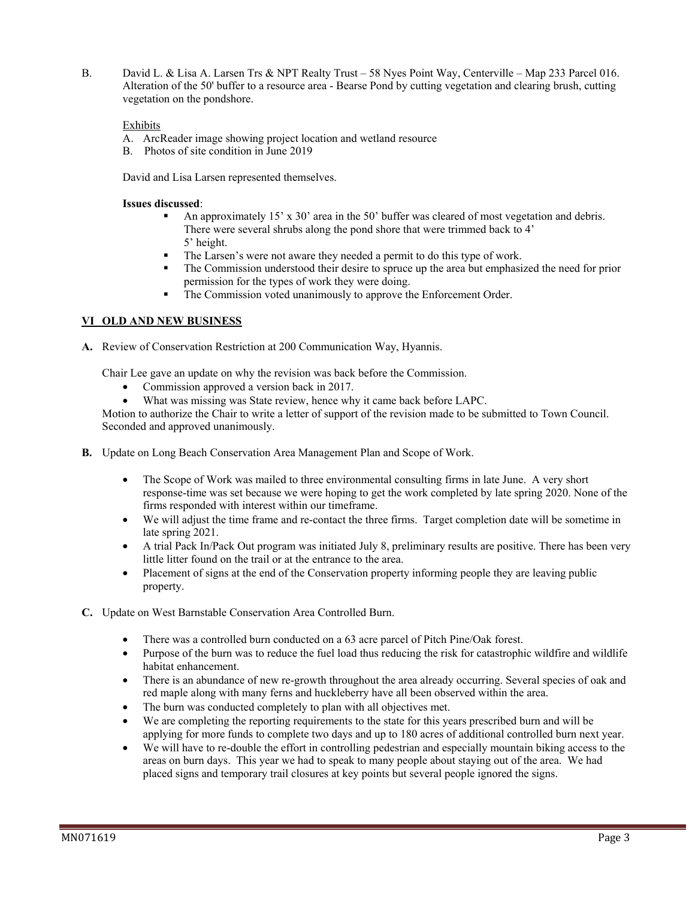B. David L. & Lisa A. Larsen Trs & NPT Realty Trust – 58 Nyes Point Way, Centerville – Map 233 Parcel 016. Alteration of the 50' buffer to a resource area - Bearse Pond by cutting vegetation and clearing brush, cutting vegetation on the pondshore.

### Exhibits

- A. ArcReader image showing project location and wetland resource
- B. Photos of site condition in June 2019

David and Lisa Larsen represented themselves.

#### **Issues discussed**:

- An approximately 15' x 30' area in the 50' buffer was cleared of most vegetation and debris. There were several shrubs along the pond shore that were trimmed back to 4' 5' height.
- The Larsen's were not aware they needed a permit to do this type of work.
- The Commission understood their desire to spruce up the area but emphasized the need for prior permission for the types of work they were doing.
- **The Commission voted unanimously to approve the Enforcement Order.**

## **VI OLD AND NEW BUSINESS**

**A.** Review of Conservation Restriction at 200 Communication Way, Hyannis.

Chair Lee gave an update on why the revision was back before the Commission.

- Commission approved a version back in 2017.
- What was missing was State review, hence why it came back before LAPC.

Motion to authorize the Chair to write a letter of support of the revision made to be submitted to Town Council. Seconded and approved unanimously.

- **B.** Update on Long Beach Conservation Area Management Plan and Scope of Work.
	- The Scope of Work was mailed to three environmental consulting firms in late June. A very short response-time was set because we were hoping to get the work completed by late spring 2020. None of the firms responded with interest within our timeframe.
	- We will adjust the time frame and re-contact the three firms. Target completion date will be sometime in late spring 2021.
	- A trial Pack In/Pack Out program was initiated July 8, preliminary results are positive. There has been very little litter found on the trail or at the entrance to the area.
	- Placement of signs at the end of the Conservation property informing people they are leaving public property.
- **C.** Update on West Barnstable Conservation Area Controlled Burn.
	- There was a controlled burn conducted on a 63 acre parcel of Pitch Pine/Oak forest.
	- Purpose of the burn was to reduce the fuel load thus reducing the risk for catastrophic wildfire and wildlife habitat enhancement.
	- There is an abundance of new re-growth throughout the area already occurring. Several species of oak and red maple along with many ferns and huckleberry have all been observed within the area.
	- The burn was conducted completely to plan with all objectives met.
	- We are completing the reporting requirements to the state for this years prescribed burn and will be applying for more funds to complete two days and up to 180 acres of additional controlled burn next year.
	- We will have to re-double the effort in controlling pedestrian and especially mountain biking access to the areas on burn days. This year we had to speak to many people about staying out of the area. We had placed signs and temporary trail closures at key points but several people ignored the signs.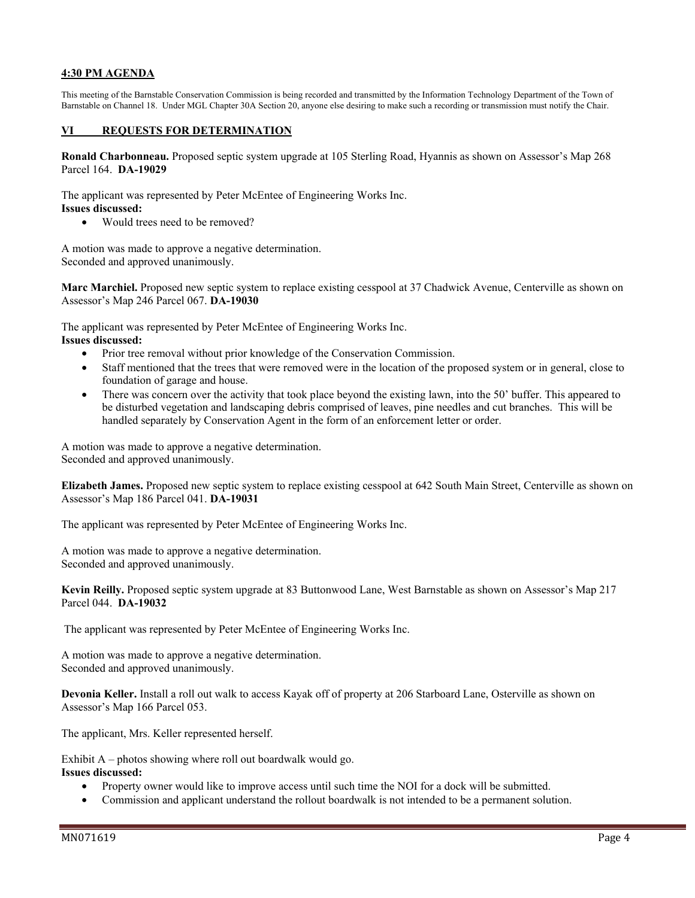#### **4:30 PM AGENDA**

This meeting of the Barnstable Conservation Commission is being recorded and transmitted by the Information Technology Department of the Town of Barnstable on Channel 18. Under MGL Chapter 30A Section 20, anyone else desiring to make such a recording or transmission must notify the Chair.

#### **VI REQUESTS FOR DETERMINATION**

**Ronald Charbonneau.** Proposed septic system upgrade at 105 Sterling Road, Hyannis as shown on Assessor's Map 268 Parcel 164. **DA-19029** 

The applicant was represented by Peter McEntee of Engineering Works Inc.

#### **Issues discussed:**

• Would trees need to be removed?

A motion was made to approve a negative determination. Seconded and approved unanimously.

**Marc Marchiel.** Proposed new septic system to replace existing cesspool at 37 Chadwick Avenue, Centerville as shown on Assessor's Map 246 Parcel 067. **DA-19030** 

The applicant was represented by Peter McEntee of Engineering Works Inc. **Issues discussed:** 

- Prior tree removal without prior knowledge of the Conservation Commission.
- Staff mentioned that the trees that were removed were in the location of the proposed system or in general, close to foundation of garage and house.
- There was concern over the activity that took place beyond the existing lawn, into the 50' buffer. This appeared to be disturbed vegetation and landscaping debris comprised of leaves, pine needles and cut branches. This will be handled separately by Conservation Agent in the form of an enforcement letter or order.

A motion was made to approve a negative determination. Seconded and approved unanimously.

**Elizabeth James.** Proposed new septic system to replace existing cesspool at 642 South Main Street, Centerville as shown on Assessor's Map 186 Parcel 041. **DA-19031** 

The applicant was represented by Peter McEntee of Engineering Works Inc.

A motion was made to approve a negative determination. Seconded and approved unanimously.

**Kevin Reilly.** Proposed septic system upgrade at 83 Buttonwood Lane, West Barnstable as shown on Assessor's Map 217 Parcel 044. **DA-19032** 

The applicant was represented by Peter McEntee of Engineering Works Inc.

A motion was made to approve a negative determination. Seconded and approved unanimously.

**Devonia Keller.** Install a roll out walk to access Kayak off of property at 206 Starboard Lane, Osterville as shown on Assessor's Map 166 Parcel 053.

The applicant, Mrs. Keller represented herself.

Exhibit A – photos showing where roll out boardwalk would go.

#### **Issues discussed:**

- Property owner would like to improve access until such time the NOI for a dock will be submitted.
- Commission and applicant understand the rollout boardwalk is not intended to be a permanent solution.